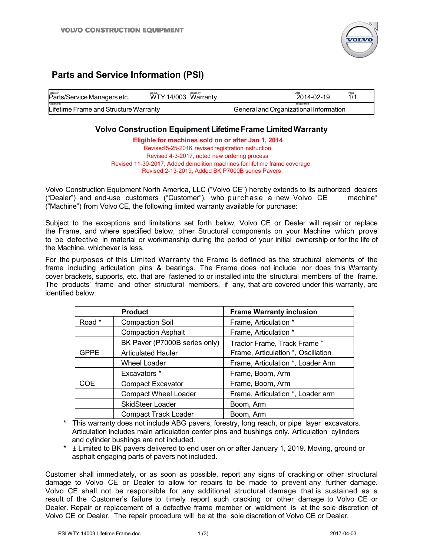

# **Parts and Service Information (PSI)**

| Receiver<br>Parts/Service Managers etc. | Rea.no.<br>WTY 14/003 Warranty | <b>Issued by</b> | 2014-02-19                             | Page<br>1/1 |
|-----------------------------------------|--------------------------------|------------------|----------------------------------------|-------------|
| Regarding                               |                                |                  | Subjectfield                           |             |
| Lifetime Frame and Structure Warranty   |                                |                  | General and Organizational Information |             |

## **Volvo Construction Equipment Lifetime Frame Limited Warranty**

**Eligible for machines sold on or after Jan 1, 2014** Revised 5-25-2016, revised registration instruction Revised 4-3-2017, noted new ordering process Revised 11-30-2017, Added demolition machines for lifetime frame coverage. Revised 2-13-2019, Added BK P7000B series Pavers

Volvo Construction Equipment North America, LLC ("Volvo CE") hereby extends to its authorized dealers ("Dealer") and end-use customers ("Customer"), who purchase a new Volvo CE machine\* ("Machine") from Volvo CE, the following limited warranty available for purchase:

Subject to the exceptions and limitations set forth below, Volvo CE or Dealer will repair or replace the Frame, and where specified below, other Structural components on your Machine which prove to be defective in material or workmanship during the period of your initial ownership or for the life of the Machine, whichever is less.

For the purposes of this Limited Warranty the Frame is defined as the structural elements of the frame including articulation pins & bearings. The Frame does not include nor does this Warranty cover brackets, supports, etc. that are fastened to or installed into the structural members of the frame. The products' frame and other structural members, if any, that are covered under this warranty, are identified below:

| <b>Product</b> |                               | <b>Frame Warranty inclusion</b>         |
|----------------|-------------------------------|-----------------------------------------|
| Road *         | <b>Compaction Soil</b>        | Frame, Articulation *                   |
|                | <b>Compaction Asphalt</b>     | Frame, Articulation *                   |
|                | BK Paver (P7000B series only) | Tractor Frame, Track Frame <sup>±</sup> |
| <b>GPPE</b>    | <b>Articulated Hauler</b>     | Frame, Articulation *, Oscillation      |
|                | Wheel Loader                  | Frame, Articulation *, Loader Arm       |
|                | Excavators *                  | Frame, Boom, Arm                        |
| <b>COE</b>     | <b>Compact Excavator</b>      | Frame, Boom, Arm                        |
|                | <b>Compact Wheel Loader</b>   | Frame, Articulation *, Loader arm       |
|                | <b>SkidSteer Loader</b>       | Boom, Arm                               |
|                | <b>Compact Track Loader</b>   | Boom, Arm                               |

\* This warranty does not include ABG pavers, forestry, long reach, or pipe layer excavators. Articulation includes main articulation center pins and bushings only. Articulation cylinders and cylinder bushings are not included.

\* ± Limited to BK pavers delivered to end user on or after January 1, 2019. Moving, ground or asphalt engaging parts of pavers not included.

Customer shall immediately, or as soon as possible, report any signs of cracking or other structural damage to Volvo CE or Dealer to allow for repairs to be made to prevent any further damage. Volvo CE shall not be responsible for any additional structural damage that is sustained as a result of the Customer's failure to timely report such cracking or other damage to Volvo CE or Dealer. Repair or replacement of a defective frame member or weldment is at the sole discretion of Volvo CE or Dealer. The repair procedure will be at the sole discretion of Volvo CE or Dealer.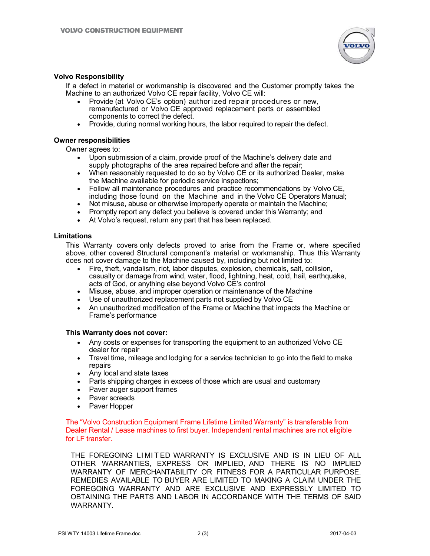

#### **Volvo Responsibility**

If a defect in material or workmanship is discovered and the Customer promptly takes the Machine to an authorized Volvo CE repair facility, Volvo CE will:

- Provide (at Volvo CE's option) authorized repair procedures or new, remanufactured or Volvo CE approved replacement parts or assembled components to correct the defect.
- Provide, during normal working hours, the labor required to repair the defect.

#### **Owner responsibilities**

Owner agrees to:

- Upon submission of a claim, provide proof of the Machine's delivery date and supply photographs of the area repaired before and after the repair;
- When reasonably requested to do so by Volvo CE or its authorized Dealer, make the Machine available for periodic service inspections;
- Follow all maintenance procedures and practice recommendations by Volvo CE, including those found on the Machine and in the Volvo CE Operators Manual;
- Not misuse, abuse or otherwise improperly operate or maintain the Machine;
- Promptly report any defect you believe is covered under this Warranty; and
- At Volvo's request, return any part that has been replaced.

#### **Limitations**

This Warranty covers only defects proved to arise from the Frame or, where specified above, other covered Structural component's material or workmanship. Thus this Warranty does not cover damage to the Machine caused by, including but not limited to:

- Fire, theft, vandalism, riot, labor disputes, explosion, chemicals, salt, collision, casualty or damage from wind, water, flood, lightning, heat, cold, hail, earthquake, acts of God, or anything else beyond Volvo CE's control
- Misuse, abuse, and improper operation or maintenance of the Machine
- Use of unauthorized replacement parts not supplied by Volvo CE
- An unauthorized modification of the Frame or Machine that impacts the Machine or Frame's performance

#### **This Warranty does not cover:**

- Any costs or expenses for transporting the equipment to an authorized Volvo CE dealer for repair
- Travel time, mileage and lodging for a service technician to go into the field to make repairs
- Any local and state taxes
- Parts shipping charges in excess of those which are usual and customary
- Paver auger support frames
- Paver screeds
- Paver Hopper

The "Volvo Construction Equipment Frame Lifetime Limited Warranty" is transferable from Dealer Rental / Lease machines to first buyer. Independent rental machines are not eligible for LF transfer.

THE FOREGOING LIMITED WARRANTY IS EXCLUSIVE AND IS IN LIEU OF ALL OTHER WARRANTIES, EXPRESS OR IMPLIED, AND THERE IS NO IMPLIED WARRANTY OF MERCHANTABILITY OR FITNESS FOR A PARTICULAR PURPOSE. REMEDIES AVAILABLE TO BUYER ARE LIMITED TO MAKING A CLAIM UNDER THE FOREGOING WARRANTY AND ARE EXCLUSIVE AND EXPRESSLY LIMITED TO OBTAINING THE PARTS AND LABOR IN ACCORDANCE WITH THE TERMS OF SAID WARRANTY.